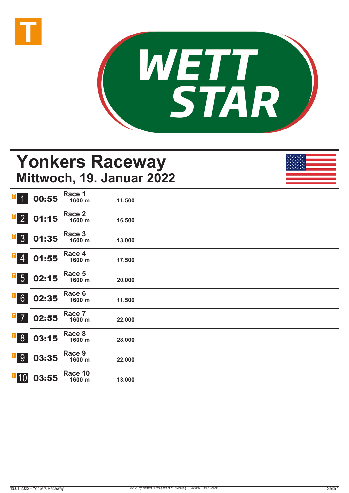



## **Yonkers Raceway Mittwoch, 19. Januar 2022**

| I                         | 00:55 | Race 1<br>1600 m  | 11.500 |  |
|---------------------------|-------|-------------------|--------|--|
| $\overline{1}$ 2          | 01:15 | Race 2<br>1600 m  | 16.500 |  |
| $\overline{1}$ 3          | 01:35 | Race 3<br>1600 m  | 13.000 |  |
| $\mathbf{T}$ 4            | 01:55 | Race 4<br>1600 m  | 17.500 |  |
| $\overline{1}$ 5          | 02:15 | Race 5<br>1600 m  | 20.000 |  |
| $\overline{1}$ 6          | 02:35 | Race 6<br>1600 m  | 11.500 |  |
| $\mathbf{F}$ $\mathbf{Z}$ | 02:55 | Race 7<br>1600 m  | 22.000 |  |
| $\overline{1}8$           | 03:15 | Race 8<br>1600 m  | 28.000 |  |
| $\overline{1}$ 9          | 03:35 | Race 9<br>1600 m  | 22.000 |  |
| $\overline{1}$ 10         | 03:55 | Race 10<br>1600 m | 13.000 |  |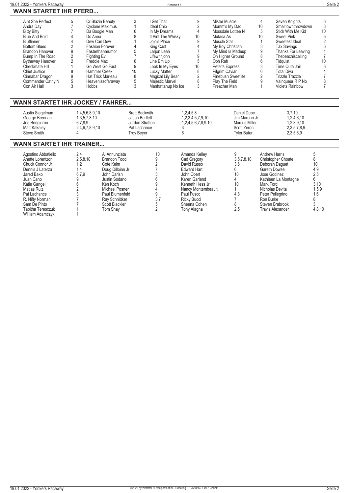| 19.01.2022 - Yonkers Raceway                                                                                                                                                                                                                                                         |                                                                                                                                                                                                                              |                                                                                                                                                                                                        |                                                                                                 | Rennen#8                                                                                                                                                                                                                                                |                                                                                                                                                                                                              |                                                                                                                                                                                                                                                             |                                                                                                |                                                                                                                                              |                                                                                                                                                                                                                                                                                             | Seite 2                                                                     |
|--------------------------------------------------------------------------------------------------------------------------------------------------------------------------------------------------------------------------------------------------------------------------------------|------------------------------------------------------------------------------------------------------------------------------------------------------------------------------------------------------------------------------|--------------------------------------------------------------------------------------------------------------------------------------------------------------------------------------------------------|-------------------------------------------------------------------------------------------------|---------------------------------------------------------------------------------------------------------------------------------------------------------------------------------------------------------------------------------------------------------|--------------------------------------------------------------------------------------------------------------------------------------------------------------------------------------------------------------|-------------------------------------------------------------------------------------------------------------------------------------------------------------------------------------------------------------------------------------------------------------|------------------------------------------------------------------------------------------------|----------------------------------------------------------------------------------------------------------------------------------------------|---------------------------------------------------------------------------------------------------------------------------------------------------------------------------------------------------------------------------------------------------------------------------------------------|-----------------------------------------------------------------------------|
| <b>WANN STARTET IHR PFERD</b>                                                                                                                                                                                                                                                        |                                                                                                                                                                                                                              |                                                                                                                                                                                                        |                                                                                                 |                                                                                                                                                                                                                                                         |                                                                                                                                                                                                              |                                                                                                                                                                                                                                                             |                                                                                                |                                                                                                                                              |                                                                                                                                                                                                                                                                                             |                                                                             |
| Aint She Perfect<br>Andra Day<br><b>Bitty Bitty</b><br><b>Blue And Bold</b><br>Bluffinner<br><b>Bottom Blues</b><br><b>Brandon Hanover</b><br>Bump In The Road<br><b>Bytheway Hanover</b><br>Checkmate Hill<br>Chief Justice<br>Cinnabar Dragon<br>Commander Cathy N<br>Con Air Hall | 5<br>$\overline{7}$<br>$\overline{7}$<br>4<br>Dc Anna<br>$\overline{4}$<br>Dew Can Dew<br>$\overline{2}$<br>9<br>$\overline{2}$<br><b>Fighting Evil</b><br>$\overline{2}$<br>Freddie Mac<br>8<br>9<br>5<br>3<br><b>Hobbs</b> | Cr Blazin Beauty<br><b>Cyclone Maximus</b><br>Da Boogie Man<br><b>Fashion Forever</b><br>Fasterthanarumor<br>Go West Go Fast<br>Hammer Creek<br><b>Hat Trick Marleau</b><br>Heavenissofaraway          | 3<br>$\mathbf{1}$<br>6<br>8<br>5<br>$\overline{7}$<br>6<br>9<br>10<br>8<br>5<br>3               | I Get That<br><b>Ideal Chip</b><br>In My Dreams<br>It Aint The Whisky<br>Joio's Place<br>King Cast<br>Larjon Leah<br>Lifewithjohn<br>Line Em Up<br>Look In My Eyes<br><b>Lucky Matter</b><br>Magical Lily Bear<br>Majestic Marvel<br>Manhattanup No Ice | 9<br>$\overline{2}$<br>4<br>10<br>9<br>4<br>$\overline{7}$<br>9<br>5<br>10<br>8<br>$\overline{2}$<br>8<br>3                                                                                                  | <b>Mister Muscle</b><br>Momm's My Dad<br>Mossdale Lottee N<br>Mufasa As<br>Muscle Star<br>My Boy Christian<br>My Mind Is Madeup<br>On Higher Ground<br>Ooh Rah<br>Peter's Express<br>Pilgrim Caviar<br>Pinebush Sweetlife<br>Play The Field<br>Preacher Man |                                                                                                | $\overline{4}$<br>10<br>5<br>10<br>$\mathbf{1}$<br>3<br>$\boldsymbol{9}$<br>8<br>6<br>$\sqrt{3}$<br>6<br>$\overline{2}$<br>9<br>$\mathbf{1}$ | Seven Knights<br>Smalltownthrowdown<br>Stick With Me Kid<br><b>Sweet Pink</b><br>Sweetest Ideal<br><b>Tax Savings</b><br>Thanks For Leaving<br>Thebeachiscalling<br>Tidquist<br>Time Outa Jail<br><b>Total Diva</b><br><b>Trizzle Trazzle</b><br>Vainqueur R P No<br><b>Violets Rainbow</b> | 6<br>3<br>10<br>5<br>$\overline{2}$<br>6<br>10<br>6<br>8<br>$\overline{7}$  |
| <b>WANN STARTET IHR JOCKEY / FAHRER</b>                                                                                                                                                                                                                                              |                                                                                                                                                                                                                              |                                                                                                                                                                                                        |                                                                                                 |                                                                                                                                                                                                                                                         |                                                                                                                                                                                                              |                                                                                                                                                                                                                                                             |                                                                                                |                                                                                                                                              |                                                                                                                                                                                                                                                                                             |                                                                             |
| Austin Siegelman<br>George Brennan<br>Joe Bongiorno<br><b>Matt Kakaley</b><br>Steve Smith                                                                                                                                                                                            | 1,4,5,6,8,9,10<br>1, 3, 5, 7, 8, 10<br>6,7,8,9<br>2,4,6,7,8,9,10<br>Δ                                                                                                                                                        |                                                                                                                                                                                                        | <b>Brett Beckwith</b><br>Jason Bartlett<br>Jordan Stratton<br>Pat Lachance<br><b>Troy Beyer</b> |                                                                                                                                                                                                                                                         | 1,2,4,5,8<br>1,2,3,4,5,7,9,10<br>1,2,4,5,6,7,8,9,10<br>3<br>6                                                                                                                                                |                                                                                                                                                                                                                                                             | Daniel Dube<br>Jim Marohn Jr<br><b>Marcus Miller</b><br>Scott Zeron<br><b>Tyler Buter</b>      |                                                                                                                                              | 3,7,10<br>1,2,4,6,10<br>1,2,3,9,10<br>2,3,5,7,8,9<br>2,3,5,6,9                                                                                                                                                                                                                              |                                                                             |
| <b>WANN STARTET IHR TRAINER</b>                                                                                                                                                                                                                                                      |                                                                                                                                                                                                                              |                                                                                                                                                                                                        |                                                                                                 |                                                                                                                                                                                                                                                         |                                                                                                                                                                                                              |                                                                                                                                                                                                                                                             |                                                                                                |                                                                                                                                              |                                                                                                                                                                                                                                                                                             |                                                                             |
| Agostino Abbatiello<br>Anette Lorentzon<br>Chuck Connor Jr<br>Dennis J Laterza<br>Jared Bako<br>Juan Cano<br>Katie Gangell<br>Matias Ruiz<br>Pat Lachance<br>R. Nifty Norman<br>Sam De Pinto<br>Tabitha Teresczuk<br>William Adamczyk                                                | 2,4<br>2,5,8,10<br>1,2<br>1,4<br>6.7.9<br>9<br>6<br>$\overline{2}$<br>3                                                                                                                                                      | Al Annunziata<br><b>Brandon Todd</b><br>Cote Keim<br>Doug Dilloian Jr<br>John Darish<br>Justin Sodano<br>Ken Koch<br>Michael Posner<br>Paul Blumenfeld<br>Ray Schnittker<br>Scott Blackler<br>Tom Shay |                                                                                                 | 10<br>9<br>$\overline{2}$<br>$\overline{7}$<br>3<br>6<br>9<br>4<br>9<br>3,7<br>5<br>$\overline{2}$                                                                                                                                                      | Amanda Kelley<br>Cad Gregory<br>David Russo<br><b>Edward Hart</b><br>John Obert<br>Karen Garland<br>Kenneth Hess Jr<br>Nancy Montembeault<br>Paul Fusco<br><b>Ricky Bucci</b><br>Sheena Cohen<br>Tony Alagna |                                                                                                                                                                                                                                                             | 9<br>3,5,7,8,10<br>3,6<br>6<br>10<br>$\overline{4}$<br>10<br>4,8<br>$\overline{7}$<br>8<br>2.5 | Mark Ford<br>Ron Burke                                                                                                                       | <b>Andrew Harris</b><br><b>Christopher Choate</b><br>Deborah Daguet<br>Gareth Dowse<br>Jose Godinez<br>Kathleen La Montagne<br>Nicholas Devita<br>Peter Pellegrino<br>Steven Brabrook<br><b>Travis Alexander</b>                                                                            | 5<br>8<br>10<br>4,9<br>2,5<br>6<br>3.10<br>1,5,9<br>1,6<br>8<br>3<br>4.8.10 |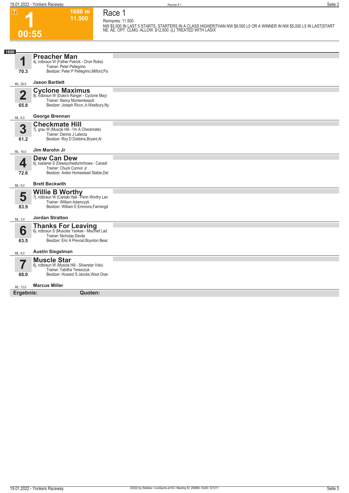**19.01.2022 - Yonkers Raceway** Seite 3

**Race 1 Rennpreis: 11.500**

**1600 m 11.500** 

**1 00:55**

**NW \$5,000 IN LAST 5 STARTS. STARTERS IN A CLASS HIGHER|THAN NW \$8,500 L5 OR A WINNER IN NW \$5,000 L5 IN LAST|START NE. AE. OPT. CLMG. ALLOW. \$12,500. (L) TREATED WITH LASIX** 

| 1600                    |                                                                              |  |
|-------------------------|------------------------------------------------------------------------------|--|
|                         | <b>Preacher Man</b>                                                          |  |
| 4                       | 4j. rotbraun W (Father Patrick - Choir Robe)<br>Trainer: Peter Pellegrino    |  |
| 70.3                    | Besitzer: Peter P Pellegrino, Milford, Pa                                    |  |
|                         |                                                                              |  |
| ML: 28,0                | <b>Jason Bartlett</b>                                                        |  |
|                         | Cyclone Maximus<br>8j. rotbraun W (Duke's Ranger - Cyclone May)              |  |
| $\overline{\mathbf{2}}$ | Trainer: Nancy Montembeault                                                  |  |
| 65.8                    | Besitzer: Joseph Ricco Jr, Westbury, Ny                                      |  |
|                         | George Brennan                                                               |  |
| ML: 6,0                 |                                                                              |  |
| 3                       | <b>Checkmate Hill</b><br>7j. grau W (Muscle Hill - I'm A Checkmate)          |  |
|                         | Trainer: Dennis J Laterza                                                    |  |
| 61.2                    | Besitzer: Roy D Dobbins, Bryant, Al                                          |  |
| ML: 16,0                | Jim Marohn Jr                                                                |  |
|                         | <b>Dew Can Dew</b>                                                           |  |
| 4                       | 6j. kastanie S (Deweycheatumnhowe - Canadi<br>Trainer: Chuck Connor Jr       |  |
| 72.6                    | Besitzer: Arden Homestead Stable, Del                                        |  |
|                         |                                                                              |  |
| ML: 8,0                 | <b>Brett Beckwith</b>                                                        |  |
| 5                       | <b>Willie B Worthy</b><br>7j. rotbraun W (Cantab Hall - Penn Worthy Lan      |  |
|                         | Trainer: William Adamczyk                                                    |  |
| 83.9                    | Besitzer: William E Emmons, Farmingd                                         |  |
| ML: 3,0                 | <b>Jordan Stratton</b>                                                       |  |
|                         |                                                                              |  |
| 6                       | <b>Thanks For Leaving</b><br>6j. rotbraun S (Muscles Yankee - Mischief Lad   |  |
| 63.5                    | Trainer: Nicholas Devita<br>Besitzer: Eric A Prevost, Boynton Beac           |  |
|                         |                                                                              |  |
| ML: 8,0                 | <b>Austin Siegelman</b>                                                      |  |
|                         | <b>Muscle Star</b>                                                           |  |
|                         | 6j. rotbraun W (Muscle Hill - Silverstar Volo)<br>Trainer: Tabitha Teresczuk |  |
| 68.0                    | Besitzer: Howard S Jacobs, West Oran                                         |  |
| ML: 13.0                | <b>Marcus Miller</b>                                                         |  |
| Ergebnis:               | Quoten:                                                                      |  |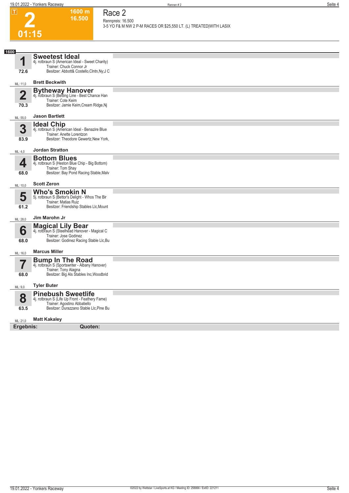**1600 m 16.500**  **Race 2**

| ட                       | 1999 H.L<br>16.500                                                                                 | Race z<br>Rennpreis: 16.500                                       |
|-------------------------|----------------------------------------------------------------------------------------------------|-------------------------------------------------------------------|
|                         |                                                                                                    | 3-5 YO F& M NW 2 P-M RACES OR \$25,550 LT. (L) TREATED WITH LASIX |
| 01:15                   |                                                                                                    |                                                                   |
|                         |                                                                                                    |                                                                   |
| 1600                    | <b>Sweetest Ideal</b>                                                                              |                                                                   |
| 1                       | 4j. rotbraun S (American Ideal - Sweet Charity)<br>Trainer: Chuck Connor Jr                        |                                                                   |
| 72.6                    | Besitzer: Abbott& Costello, Clntn, Ny; J C                                                         |                                                                   |
| ML: 11,0                | <b>Brett Beckwith</b>                                                                              |                                                                   |
| $\overline{\mathbf{2}}$ | <b>Bytheway Hanover</b><br>4j. rotbraun S (Betting Line - Best Chance Han                          |                                                                   |
|                         | Trainer: Cote Keim                                                                                 |                                                                   |
| 70.3                    | Besitzer: Jamie Keim, Cream Ridge, Nj                                                              |                                                                   |
| ML: 55,0                | <b>Jason Bartlett</b>                                                                              |                                                                   |
| 3                       | <b>Ideal Chip</b><br>4j. rotbraun S (American Ideal - Benazire Blue                                |                                                                   |
|                         | Trainer: Anette Lorentzon<br>Besitzer: Theodore Gewertz, New York,                                 |                                                                   |
| 83.9                    |                                                                                                    |                                                                   |
| ML: 4,0                 | <b>Jordan Stratton</b>                                                                             |                                                                   |
| 4                       | <b>Bottom Blues</b><br>4j. rotbraun S (Heston Blue Chip - Big Bottom)                              |                                                                   |
| 68.0                    | Trainer: Tom Shay<br>Besitzer: Bay Pond Racing Stable, Malv                                        |                                                                   |
|                         | <b>Scott Zeron</b>                                                                                 |                                                                   |
| ML: 10,0                | <b>Who's Smokin N</b>                                                                              |                                                                   |
| 5                       | 5j. rotbraun S (Bettor's Delight - Whos The Bir                                                    |                                                                   |
| 61.2                    | Trainer: Matias Ruiz<br>Besitzer: Friendship Stables Llc, Mount                                    |                                                                   |
| ML: 28,0                | Jim Marohn Jr                                                                                      |                                                                   |
|                         |                                                                                                    |                                                                   |
| 6                       | <b>Magical Lily Bear</b><br>4j. rotbraun S (Steelhead Hanover - Magical C<br>Trainer: Jose Godinez |                                                                   |
| 68.0                    | Besitzer: Godinez Racing Stable Llc, Bu                                                            |                                                                   |
| ML: 16,0                | <b>Marcus Miller</b>                                                                               |                                                                   |
|                         | <b>Bump In The Road</b>                                                                            |                                                                   |
|                         | 4j. rotbraun S (Sportswriter - Albany Hanover)<br>Trainer: Tony Alagna                             |                                                                   |
| 68.0                    | Besitzer: Big Als Stables Inc, Woodbrid                                                            |                                                                   |
| ML: 9,0                 | <b>Tyler Buter</b>                                                                                 |                                                                   |
| 8                       | <b>Pinebush Sweetlife</b><br>4j. rotbraun S (Life Up Front - Feathery Fame)                        |                                                                   |
|                         | Trainer: Agostino Abbatiello<br>Besitzer: Durazzano Stable Llc, Pine Bu                            |                                                                   |
| 63.5                    |                                                                                                    |                                                                   |
| ML: 21,0                | <b>Matt Kakaley</b>                                                                                |                                                                   |
| Ergebnis:               | Quoten:                                                                                            |                                                                   |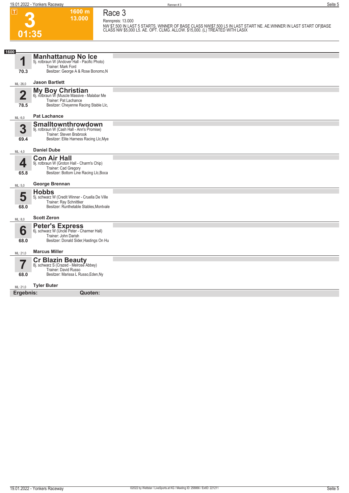**19.01.2022 - Yonkers Raceway** Seite 5

**3**

**01:35**

**Race 3 Rennpreis: 13.000**

**1600 m 13.000** 

**NW \$7,500 IN LAST 5 STARTS. WINNER OF BASE CLASS NW|\$7,500 L5 IN LAST START NE. AE.WINNER IN LAST START OF|BASE CLASS NW \$5,000 L5. AE. OPT. CLMG. ALLOW. \$15,000. (L) TREATED WITH LASIX** 

| 1600                            |                                                                                                                                         |  |
|---------------------------------|-----------------------------------------------------------------------------------------------------------------------------------------|--|
| 1<br>70.3                       | <b>Manhattanup No Ice</b><br>5j. rotbraun W (Andover Hall - Pacific Photo)<br>Trainer: Mark Ford<br>Besitzer: George A & Rose Bonomo, N |  |
|                                 | <b>Jason Bartlett</b>                                                                                                                   |  |
| ML: 26,0                        |                                                                                                                                         |  |
| $\overline{\mathbf{2}}$<br>78.5 | My Boy Christian<br>6j. rotbraun W (Muscle Massive - Malabar Me<br>Trainer: Pat Lachance<br>Besitzer: Cheyenne Racing Stable Llc,       |  |
|                                 |                                                                                                                                         |  |
| ML: 6,0                         | <b>Pat Lachance</b>                                                                                                                     |  |
|                                 | Smalltownthrowdown                                                                                                                      |  |
| 3                               | 9j. rotbraun W (Cash Hall - Ann's Promise)                                                                                              |  |
| 69.4                            | Trainer: Steven Brabrook<br>Besitzer: Elite Harness Racing Llc, Mye                                                                     |  |
|                                 |                                                                                                                                         |  |
| ML: 4,0                         | <b>Daniel Dube</b>                                                                                                                      |  |
|                                 | <b>Con Air Hall</b>                                                                                                                     |  |
| 4                               | 9j. rotbraun W (Groton Hall - Charm's Chip)                                                                                             |  |
| 65.8                            | Trainer: Cad Gregory<br>Besitzer: Bottom Line Racing Llc, Boca                                                                          |  |
|                                 |                                                                                                                                         |  |
| ML: 5,0                         | <b>George Brennan</b>                                                                                                                   |  |
|                                 | <b>Hobbs</b>                                                                                                                            |  |
| 5                               | 5j. schwarz W (Credit Winner - Cruella De Ville                                                                                         |  |
| 68.0                            | Trainer: Ray Schnittker<br>Besitzer: Runthetable Stables, Montvale                                                                      |  |
|                                 |                                                                                                                                         |  |
| ML: 8,0                         | <b>Scott Zeron</b>                                                                                                                      |  |
|                                 |                                                                                                                                         |  |
| 6                               | Peter's Express<br>6j. schwarz W (Uncle Peter - Charmer Hall)                                                                           |  |
| 68.0                            | Trainer: John Darish<br>Besitzer: Donald Sider, Hastings On Hu                                                                          |  |
|                                 |                                                                                                                                         |  |
| ML: 21,0                        | <b>Marcus Miller</b>                                                                                                                    |  |
| $\overline{\phantom{a}}$        | <b>Cr Blazin Beauty</b><br>8j. schwarz S (Crazed - Melrose Abbey)                                                                       |  |
|                                 |                                                                                                                                         |  |
| 68.0                            | Trainer: David Russo<br>Besitzer: Marissa L Russo, Eden, Ny                                                                             |  |
|                                 | <b>Tyler Buter</b>                                                                                                                      |  |
| ML: 21,0                        |                                                                                                                                         |  |
| Ergebnis:                       | Quoten:                                                                                                                                 |  |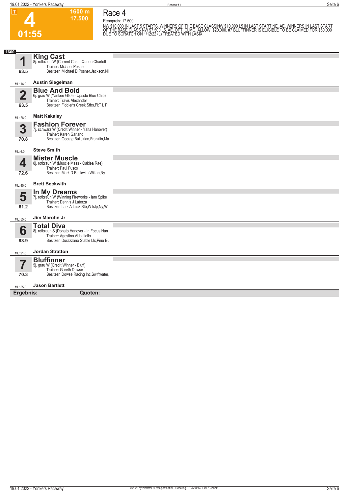## **4 01:55**

**Race 4 Rennpreis: 17.500**

**1600 m 17.500** 

NW \$10,000 IN LAST 5 STARTS. WINNERS OF THE BASE CLASSINW \$10,000 L5 IN LAST START NE. AE. WINNERS IN LASTISTART<br>OF THE BASE CLASS NW \$7,500 L5. AE. OPT. CLMG. ALLOW. \$20,000. #7 BLUFFINNER IS ELIGIBLE TO BE CLAIMED|FOR \$5

| 1600                    |                                                                                                                                               |  |
|-------------------------|-----------------------------------------------------------------------------------------------------------------------------------------------|--|
| ◢                       | <b>King Cast</b><br>8j. rotbraun W (Current Cast - Queen Charlott<br>Trainer: Michael Posner                                                  |  |
| 63.5                    | Besitzer: Michael D Posner, Jackson, Nj                                                                                                       |  |
| ML: 16,0                | <b>Austin Siegelman</b>                                                                                                                       |  |
| $\overline{\mathbf{2}}$ | <b>Blue And Bold</b><br>6j. grau W (Yankee Glide - Upside Blue Chip)<br>Trainer: Travis Alexander                                             |  |
| 63.5                    | Besitzer: Fiddler's Creek Stbs.FI:T L P                                                                                                       |  |
| ML: 28,0                | <b>Matt Kakaley</b>                                                                                                                           |  |
| 3<br>70.8               | <b>Fashion Forever</b><br>7j. schwarz W (Credit Winner - Yalta Hanover)<br>Trainer: Karen Garland<br>Besitzer: George Bullukian, Franklin, Ma |  |
| ML: 6,0                 | <b>Steve Smith</b>                                                                                                                            |  |
| 4<br>72.6               | <b>Mister Muscle</b><br>8j. rotbraun W (Muscle Mass - Oaklea Rae)<br>Trainer: Paul Fusco<br>Besitzer: Mark D Beckwith, Wilton, Ny             |  |
| ML: 45,0                | <b>Brett Beckwith</b>                                                                                                                         |  |
| 5<br>61.2               | In My Dreams<br>7j. rotbraun W (Winning Fireworks - Iam Spike<br>Trainer: Dennis J Laterza<br>Besitzer: Latz A Luck Stb, W Islp, Ny; Wi       |  |
| ML: 55,0                | Jim Marohn Jr                                                                                                                                 |  |
| 6<br>83.9               | <b>Total Diva</b><br>8j. rotbraun S (Donato Hanover - In Focus Han<br>Trainer: Agostino Abbatiello<br>Besitzer: Durazzano Stable Llc, Pine Bu |  |
| ML: 21,0                | <b>Jordan Stratton</b>                                                                                                                        |  |
| 7                       | <b>Bluffinner</b><br>5j. grau W (Credit Winner - Bluff)<br>Trainer: Gareth Dowse<br>Besitzer: Dowse Racing Inc, Swiftwater,                   |  |
| 70.3                    |                                                                                                                                               |  |
| ML: 55,0<br>Ergebnis:   | <b>Jason Bartlett</b><br>Quoten:                                                                                                              |  |
|                         |                                                                                                                                               |  |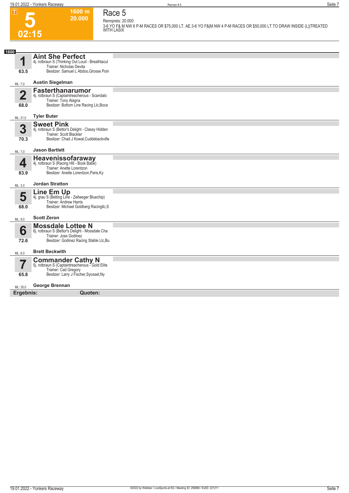**1600 m 20.000**  **Race 5**



## **Rennpreis: 20.000 3-6 YO F& M NW 6 P-M RACES OR \$75,000 LT. AE.3-6 YO F&|M NW 4 P-M RACES OR \$50,000 LT TO DRAW INSIDE (L)|TREATED WITH LASIX**

| 1600                            |                                                                                                                                                 |  |
|---------------------------------|-------------------------------------------------------------------------------------------------------------------------------------------------|--|
| ◢                               | <b>Aint She Perfect</b><br>4j. rotbraun S (Thinking Out Loud - Breathtacul<br>Trainer: Nicholas Devita                                          |  |
| 63.5                            | Besitzer: Samuel L Abdoo, Grosse Poin                                                                                                           |  |
| ML: 7,0                         | <b>Austin Siegelman</b>                                                                                                                         |  |
| $\overline{2}$<br>68.0          | <b>Fasterthanarumor</b><br>4j. rotbraun S (Captaintreacherous - Scandalo<br>Trainer: Tony Alagna<br>Besitzer: Bottom Line Racing Llc, Boca      |  |
|                                 |                                                                                                                                                 |  |
| ML: 21,0                        | <b>Tyler Buter</b>                                                                                                                              |  |
| 3<br>70.3                       | <b>Sweet Pink</b><br>4j. rotbraun S (Bettor's Delight - Classy Hidden<br>Trainer: Scott Blackler<br>Besitzer: Chad J Kowal, Cuddebackville      |  |
| ML: 7,0                         | <b>Jason Bartlett</b>                                                                                                                           |  |
| 4<br>83.9                       | Heavenissofaraway<br>4j. rotbraun S (Racing Hill - Book Babe)<br>Trainer: Anette Lorentzon<br>Besitzer: Anette Lorentzon, Paris, Ky             |  |
| ML: 3,0                         | <b>Jordan Stratton</b>                                                                                                                          |  |
| 5<br>68.0                       | Line Em Up<br>4j. grau S (Betting Line - Zellweger Bluechip)<br>Trainer: Andrew Harris<br>Besitzer: Michael Goldberg Racingllc, S               |  |
| ML: 8,0                         | <b>Scott Zeron</b>                                                                                                                              |  |
| 6<br>72.6                       | <b>Mossdale Lottee N</b><br>6j. rotbraun S (Bettor's Delight - Mossdale Cha<br>Trainer: Jose Godinez<br>Besitzer: Godinez Racing Stable Llc, Bu |  |
| ML: 6,0                         | <b>Brett Beckwith</b>                                                                                                                           |  |
| $\overline{\mathbf{7}}$<br>65.8 | <b>Commander Cathy N</b><br>5j. rotbraun S (Captaintreacherous - Gold Elite<br>Trainer: Cad Gregory<br>Besitzer: Larry J Fischer, Syosset, Ny   |  |
| ML: 35,0                        | George Brennan                                                                                                                                  |  |
| Ergebnis:                       | Quoten:                                                                                                                                         |  |
|                                 |                                                                                                                                                 |  |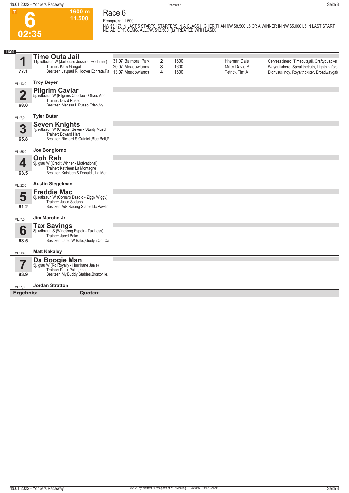**6**

**02:35**

**Race 6 Rennpreis: 11.500**

**1600 m 11.500** 

**NW \$5,175 IN LAST 5 STARTS. STARTERS IN A CLASS HIGHER|THAN NW \$8,500 L5 OR A WINNER IN NW \$5,000 L5 IN LAST|START NE. AE. OPT. CLMG. ALLOW. \$12,500. (L) TREATED WITH LASIX** 

| 1600                            |                                                                                                                                             |                                                               |                          |                      |                                                               |                                                                                                                                        |
|---------------------------------|---------------------------------------------------------------------------------------------------------------------------------------------|---------------------------------------------------------------|--------------------------|----------------------|---------------------------------------------------------------|----------------------------------------------------------------------------------------------------------------------------------------|
| 4<br>77.1                       | <b>Time Outa Jail</b><br>11j. rotbraun W (Jailhouse Jesse - Two Timer)<br>Trainer: Katie Gangell<br>Besitzer: Jaypaul R Hoover, Ephrata, Pa | 31.07 Balmoral Park<br>20.07 Meadowlands<br>13.07 Meadowlands | $\overline{2}$<br>8<br>4 | 1600<br>1600<br>1600 | <b>Hiteman Dale</b><br><b>Miller David S</b><br>Tetrick Tim A | Cervezadinero, Timeoutajail, Craftyquacker<br>Wayouttahere, Speakthetruth, Lightningforc<br>Dionysuslindy, Royaltrickster, Broadwaygab |
| ML: 13,0                        | <b>Troy Beyer</b>                                                                                                                           |                                                               |                          |                      |                                                               |                                                                                                                                        |
| $\overline{\mathbf{2}}$<br>68.0 | <b>Pilgrim Caviar</b><br>5j. rotbraun W (Pilgrims Chuckie - Olives And<br>Trainer: David Russo<br>Besitzer: Marissa L Russo, Eden, Ny       |                                                               |                          |                      |                                                               |                                                                                                                                        |
| ML: 7,0                         | <b>Tyler Buter</b>                                                                                                                          |                                                               |                          |                      |                                                               |                                                                                                                                        |
| 3<br>65.8                       | <b>Seven Knights</b><br>7j. rotbraun W (Chapter Seven - Sturdy Muscl<br>Trainer: Edward Hart<br>Besitzer: Richard S Gutnick, Blue Bell, P   |                                                               |                          |                      |                                                               |                                                                                                                                        |
| ML: 55,0                        | Joe Bongiorno                                                                                                                               |                                                               |                          |                      |                                                               |                                                                                                                                        |
| 4<br>63.5                       | <b>Ooh Rah</b><br>9j. grau W (Credit Winner - Motivational)<br>Trainer: Kathleen La Montagne<br>Besitzer: Kathleen & Donald J La Mont       |                                                               |                          |                      |                                                               |                                                                                                                                        |
| ML: 22,0                        | <b>Austin Siegelman</b>                                                                                                                     |                                                               |                          |                      |                                                               |                                                                                                                                        |
| 5<br>61.2                       | <b>Freddie Mac</b><br>8j. rotbraun W (Cornaro Dasolo - Ziggy Wiggy)<br>Trainer: Justin Sodano<br>Besitzer: Adv Racing Stable Llc, Pawlin    |                                                               |                          |                      |                                                               |                                                                                                                                        |
| ML: 7,0                         | Jim Marohn Jr                                                                                                                               |                                                               |                          |                      |                                                               |                                                                                                                                        |
| 6<br>63.5                       | <b>Tax Savings</b><br>8j. rotbraun S (Windsong Espoir - Tax Loss)<br>Trainer: Jared Bako<br>Besitzer: Jared W Bako, Guelph, On, Ca          |                                                               |                          |                      |                                                               |                                                                                                                                        |
| ML: 13,0                        | <b>Matt Kakaley</b>                                                                                                                         |                                                               |                          |                      |                                                               |                                                                                                                                        |
| 83.9                            | <b>Da Boogie Man</b><br>5j. grau W (Rc Royalty - Hurrikane Janie)<br>Trainer: Peter Pellegrino<br>Besitzer: My Buddy Stables, Bronxville,   |                                                               |                          |                      |                                                               |                                                                                                                                        |
| ML: 7,0                         | <b>Jordan Stratton</b>                                                                                                                      |                                                               |                          |                      |                                                               |                                                                                                                                        |
| Ergebnis:                       | Quoten:                                                                                                                                     |                                                               |                          |                      |                                                               |                                                                                                                                        |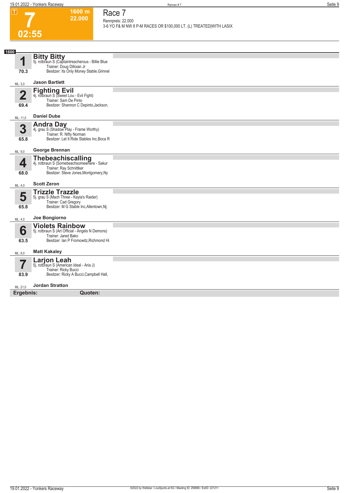**1600 m 22.000** 

**Race 7 Rennpreis: 22.000**

**3-6 YO F& M NW 8 P-M RACES OR \$100,000 LT. (L) TREATED|WITH LASIX** 

## **7 02:55**

| 1600<br><b>Bitty Bitty</b><br>1<br>5j. rotbraun S (Captaintreacherous - Billie Blue<br>Trainer: Doug Dilloian Jr<br>Besitzer: Its Only Money Stable, Grinnel<br>70.3<br><b>Jason Bartlett</b><br>ML: 3,0<br><b>Fighting Evil</b><br>4j. rotbraun S (Sweet Lou - Evil Fight)<br>$\overline{\mathbf{2}}$<br>Trainer: Sam De Pinto<br>Besitzer: Shannon C Depinto, Jackson,<br>69.4<br><b>Daniel Dube</b><br>ML: 11,0<br><b>Andra Day</b><br>3<br>4j. grau S (Shadow Play - Frame Worthy)<br>Trainer: R. Nifty Norman<br>Besitzer: Let It Ride Stables Inc, Boca R<br>65.8<br>George Brennan<br>ML: 9,0<br>Thebeachiscalling<br>4j. rotbraun S (Somebeachsomewhere - Sakur<br>4<br>Trainer: Ray Schnittker<br>Besitzer: Steve Jones, Montgomery, Ny<br>68.0<br><b>Scott Zeron</b><br>ML: 4,0<br><b>Trizzle Trazzle</b><br>5<br>5j. grau S (Mach Three - Kayla's Raider)<br>Trainer: Cad Gregory<br>Besitzer: M G Stable Inc, Allentown, Nj;<br>65.8<br>Joe Bongiorno<br>ML: 4,0<br><b>Violets Rainbow</b><br>6<br>5j. rotbraun S (Art Official - Angels N Demons)<br>Trainer: Jared Bako<br>Besitzer: Ian P Fromowitz, Richmond Hi<br>63.5<br><b>Matt Kakaley</b><br>ML: 8,0<br><b>Larjon Leah</b><br>5j. rotbraun S (American Ideal - Aria J)<br>Trainer: Ricky Bucci<br>Besitzer: Ricky A Bucci, Campbell Hall,<br>83.9<br><b>Jordan Stratton</b><br>ML: 21,0<br>Ergebnis:<br>Quoten: |  |  |
|--------------------------------------------------------------------------------------------------------------------------------------------------------------------------------------------------------------------------------------------------------------------------------------------------------------------------------------------------------------------------------------------------------------------------------------------------------------------------------------------------------------------------------------------------------------------------------------------------------------------------------------------------------------------------------------------------------------------------------------------------------------------------------------------------------------------------------------------------------------------------------------------------------------------------------------------------------------------------------------------------------------------------------------------------------------------------------------------------------------------------------------------------------------------------------------------------------------------------------------------------------------------------------------------------------------------------------------------------------------------------------------|--|--|
|                                                                                                                                                                                                                                                                                                                                                                                                                                                                                                                                                                                                                                                                                                                                                                                                                                                                                                                                                                                                                                                                                                                                                                                                                                                                                                                                                                                      |  |  |
|                                                                                                                                                                                                                                                                                                                                                                                                                                                                                                                                                                                                                                                                                                                                                                                                                                                                                                                                                                                                                                                                                                                                                                                                                                                                                                                                                                                      |  |  |
|                                                                                                                                                                                                                                                                                                                                                                                                                                                                                                                                                                                                                                                                                                                                                                                                                                                                                                                                                                                                                                                                                                                                                                                                                                                                                                                                                                                      |  |  |
|                                                                                                                                                                                                                                                                                                                                                                                                                                                                                                                                                                                                                                                                                                                                                                                                                                                                                                                                                                                                                                                                                                                                                                                                                                                                                                                                                                                      |  |  |
|                                                                                                                                                                                                                                                                                                                                                                                                                                                                                                                                                                                                                                                                                                                                                                                                                                                                                                                                                                                                                                                                                                                                                                                                                                                                                                                                                                                      |  |  |
|                                                                                                                                                                                                                                                                                                                                                                                                                                                                                                                                                                                                                                                                                                                                                                                                                                                                                                                                                                                                                                                                                                                                                                                                                                                                                                                                                                                      |  |  |
|                                                                                                                                                                                                                                                                                                                                                                                                                                                                                                                                                                                                                                                                                                                                                                                                                                                                                                                                                                                                                                                                                                                                                                                                                                                                                                                                                                                      |  |  |
|                                                                                                                                                                                                                                                                                                                                                                                                                                                                                                                                                                                                                                                                                                                                                                                                                                                                                                                                                                                                                                                                                                                                                                                                                                                                                                                                                                                      |  |  |
|                                                                                                                                                                                                                                                                                                                                                                                                                                                                                                                                                                                                                                                                                                                                                                                                                                                                                                                                                                                                                                                                                                                                                                                                                                                                                                                                                                                      |  |  |
|                                                                                                                                                                                                                                                                                                                                                                                                                                                                                                                                                                                                                                                                                                                                                                                                                                                                                                                                                                                                                                                                                                                                                                                                                                                                                                                                                                                      |  |  |
|                                                                                                                                                                                                                                                                                                                                                                                                                                                                                                                                                                                                                                                                                                                                                                                                                                                                                                                                                                                                                                                                                                                                                                                                                                                                                                                                                                                      |  |  |
|                                                                                                                                                                                                                                                                                                                                                                                                                                                                                                                                                                                                                                                                                                                                                                                                                                                                                                                                                                                                                                                                                                                                                                                                                                                                                                                                                                                      |  |  |
|                                                                                                                                                                                                                                                                                                                                                                                                                                                                                                                                                                                                                                                                                                                                                                                                                                                                                                                                                                                                                                                                                                                                                                                                                                                                                                                                                                                      |  |  |
|                                                                                                                                                                                                                                                                                                                                                                                                                                                                                                                                                                                                                                                                                                                                                                                                                                                                                                                                                                                                                                                                                                                                                                                                                                                                                                                                                                                      |  |  |
|                                                                                                                                                                                                                                                                                                                                                                                                                                                                                                                                                                                                                                                                                                                                                                                                                                                                                                                                                                                                                                                                                                                                                                                                                                                                                                                                                                                      |  |  |
|                                                                                                                                                                                                                                                                                                                                                                                                                                                                                                                                                                                                                                                                                                                                                                                                                                                                                                                                                                                                                                                                                                                                                                                                                                                                                                                                                                                      |  |  |
|                                                                                                                                                                                                                                                                                                                                                                                                                                                                                                                                                                                                                                                                                                                                                                                                                                                                                                                                                                                                                                                                                                                                                                                                                                                                                                                                                                                      |  |  |
|                                                                                                                                                                                                                                                                                                                                                                                                                                                                                                                                                                                                                                                                                                                                                                                                                                                                                                                                                                                                                                                                                                                                                                                                                                                                                                                                                                                      |  |  |
|                                                                                                                                                                                                                                                                                                                                                                                                                                                                                                                                                                                                                                                                                                                                                                                                                                                                                                                                                                                                                                                                                                                                                                                                                                                                                                                                                                                      |  |  |
|                                                                                                                                                                                                                                                                                                                                                                                                                                                                                                                                                                                                                                                                                                                                                                                                                                                                                                                                                                                                                                                                                                                                                                                                                                                                                                                                                                                      |  |  |
|                                                                                                                                                                                                                                                                                                                                                                                                                                                                                                                                                                                                                                                                                                                                                                                                                                                                                                                                                                                                                                                                                                                                                                                                                                                                                                                                                                                      |  |  |
|                                                                                                                                                                                                                                                                                                                                                                                                                                                                                                                                                                                                                                                                                                                                                                                                                                                                                                                                                                                                                                                                                                                                                                                                                                                                                                                                                                                      |  |  |
|                                                                                                                                                                                                                                                                                                                                                                                                                                                                                                                                                                                                                                                                                                                                                                                                                                                                                                                                                                                                                                                                                                                                                                                                                                                                                                                                                                                      |  |  |
|                                                                                                                                                                                                                                                                                                                                                                                                                                                                                                                                                                                                                                                                                                                                                                                                                                                                                                                                                                                                                                                                                                                                                                                                                                                                                                                                                                                      |  |  |
|                                                                                                                                                                                                                                                                                                                                                                                                                                                                                                                                                                                                                                                                                                                                                                                                                                                                                                                                                                                                                                                                                                                                                                                                                                                                                                                                                                                      |  |  |
|                                                                                                                                                                                                                                                                                                                                                                                                                                                                                                                                                                                                                                                                                                                                                                                                                                                                                                                                                                                                                                                                                                                                                                                                                                                                                                                                                                                      |  |  |
|                                                                                                                                                                                                                                                                                                                                                                                                                                                                                                                                                                                                                                                                                                                                                                                                                                                                                                                                                                                                                                                                                                                                                                                                                                                                                                                                                                                      |  |  |
|                                                                                                                                                                                                                                                                                                                                                                                                                                                                                                                                                                                                                                                                                                                                                                                                                                                                                                                                                                                                                                                                                                                                                                                                                                                                                                                                                                                      |  |  |
|                                                                                                                                                                                                                                                                                                                                                                                                                                                                                                                                                                                                                                                                                                                                                                                                                                                                                                                                                                                                                                                                                                                                                                                                                                                                                                                                                                                      |  |  |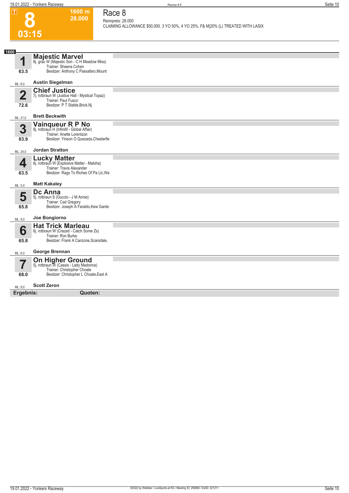**1600 m 28.000**  **Race 8 Rennpreis: 28.000**

**8**

|      |                                 |                                                                                                                                            | CLAIMING ALLOWANCE \$50,000. 3 YO 50%, 4 YO 25%, F& M 20% (L) TREATED WITH LASIX |
|------|---------------------------------|--------------------------------------------------------------------------------------------------------------------------------------------|----------------------------------------------------------------------------------|
|      | 03:15                           |                                                                                                                                            |                                                                                  |
|      |                                 |                                                                                                                                            |                                                                                  |
| 1600 | 4                               | <b>Majestic Marvel</b><br>8j. grau W (Majestic Son - C H Meadow Miss)<br>Trainer: Sheena Cohen                                             |                                                                                  |
|      | 63.5                            | Besitzer: Anthony C Passafaro, Mount                                                                                                       |                                                                                  |
|      | ML: 6,0                         | <b>Austin Siegelman</b>                                                                                                                    |                                                                                  |
|      | $\overline{\mathbf{2}}$<br>72.6 | <b>Chief Justice</b><br>7j. rotbraun W (Justice Hall - Mystical Topaz)<br>Trainer: Paul Fusco<br>Besitzer: P T Stable, Brick, Nj           |                                                                                  |
|      | ML: 21,0                        | <b>Brett Beckwith</b>                                                                                                                      |                                                                                  |
|      | 3<br>83.9                       | Vainqueur R P No<br>8j. rotbraun H (Infinitif - Global Affair)<br>Trainer: Anette Lorentzon<br>Besitzer: Yinson O Quezada, Chesterfie      |                                                                                  |
|      | ML: 24,0                        | <b>Jordan Stratton</b>                                                                                                                     |                                                                                  |
|      | 4                               | <b>Lucky Matter</b><br>8j. rotbraun W (Explosive Matter - Maloha)<br>Trainer: Travis Alexander                                             |                                                                                  |
|      | 63.5                            | Besitzer: Rags To Riches Of Pa Llc, Wa                                                                                                     |                                                                                  |
|      | ML: 5,0                         | <b>Matt Kakaley</b>                                                                                                                        |                                                                                  |
|      | 5<br>65.8                       | Dc Anna<br>5j. rotbraun S (Guccio - J M Annie)<br>Trainer: Cad Gregory<br>Besitzer: Joseph A Faraldo, Kew Garde                            |                                                                                  |
|      | ML: 9,0                         | Joe Bongiorno                                                                                                                              |                                                                                  |
|      | 6                               | <b>Hat Trick Marleau</b><br>6j. rotbraun W (Crazed - Catch Some Zs)<br>Trainer: Ron Burke                                                  |                                                                                  |
|      | 65.8                            | Besitzer: Frank A Canzone, Scarsdale,                                                                                                      |                                                                                  |
|      | ML: 6,0                         | George Brennan                                                                                                                             |                                                                                  |
|      | 57<br>68.0                      | <b>On Higher Ground</b><br>5j. rotbraun W (Cassis - Lady Madonna)<br>Trainer: Christopher Choate<br>Besitzer: Christopher L Choate, East A |                                                                                  |
|      | ML: 9,0                         | <b>Scott Zeron</b>                                                                                                                         |                                                                                  |
|      | Ergebnis:                       | Quoten:                                                                                                                                    |                                                                                  |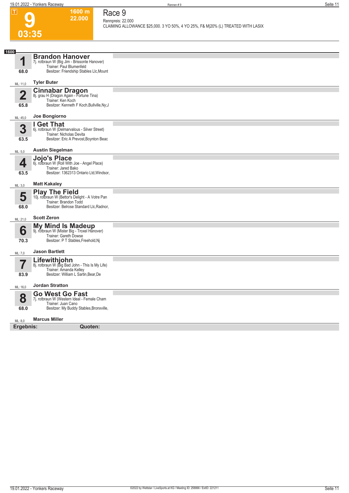**1600 m 22.000**  **Race 9 Rennpreis: 22.000**

**9**

| 03:35                           |                                                                                                                                               | CLAIMING ALLOWANCE \$25,000. 3 YO 50%, 4 YO 25%, F& M 20% (L) TREATED WITH LASIX |
|---------------------------------|-----------------------------------------------------------------------------------------------------------------------------------------------|----------------------------------------------------------------------------------|
|                                 |                                                                                                                                               |                                                                                  |
| 1600<br>1<br>68.0               | <b>Brandon Hanover</b><br>7j. rotbraun W (Big Jim - Brissonte Hanover)<br>Trainer: Paul Blumenfeld<br>Besitzer: Friendship Stables Llc, Mount |                                                                                  |
| ML: 11,0                        | <b>Tyler Buter</b>                                                                                                                            |                                                                                  |
| $\overline{\mathbf{2}}$<br>65.8 | <b>Cinnabar Dragon</b><br>8j. grau H (Dragon Again - Fortune Tina)<br>Trainer: Ken Koch<br>Besitzer: Kenneth F Koch, Bullville, Ny; J         |                                                                                  |
| ML: 45,0                        | Joe Bongiorno                                                                                                                                 |                                                                                  |
| 3<br>63.5                       | I Get That<br>6j. rotbraun W (Delmarvalous - Silver Street)<br>Trainer: Nicholas Devita<br>Besitzer: Eric A Prevost, Boynton Beac             |                                                                                  |
| ML: 5,0                         | <b>Austin Siegelman</b>                                                                                                                       |                                                                                  |
| 4<br>63.5                       | Jojo's Place<br>6j. rotbraun W (Roll With Joe - Angel Place)<br>Trainer: Jared Bako<br>Besitzer: 1362313 Ontario Ltd, Windsor,                |                                                                                  |
| ML: 3,0                         | <b>Matt Kakaley</b>                                                                                                                           |                                                                                  |
| 5<br>68.0                       | <b>Play The Field</b><br>10j. rotbraun W (Bettor's Delight - A Votre Pan<br>Trainer: Brandon Todd<br>Besitzer: Belrose Standard Llc, Radnor,  |                                                                                  |
| ML: 21,0                        | <b>Scott Zeron</b>                                                                                                                            |                                                                                  |
| 6<br>70.3                       | <b>My Mind Is Madeup</b><br>9j. rotbraun W (Mister Big - Troxel Hanover)<br>Trainer: Gareth Dowse<br>Besitzer: P T Stables, Freehold, Nj      |                                                                                  |
| ML: 7,0                         | <b>Jason Bartlett</b>                                                                                                                         |                                                                                  |
| I<br>83.9                       | Lifewithjohn<br>8j. rotbraun W (Big Bad John - This Is My Life)<br>Trainer: Amanda Kelley<br>Besitzer: William L Sartin, Bear, De             |                                                                                  |
| ML: 16.0                        | <b>Jordan Stratton</b>                                                                                                                        |                                                                                  |
| 8<br>68.0                       | <b>Go West Go Fast</b><br>7j. rotbraun W (Western Ideal - Female Cham<br>Trainer: Juan Cano<br>Besitzer: My Buddy Stables, Bronxville,        |                                                                                  |
| ML: 8,0                         | <b>Marcus Miller</b>                                                                                                                          |                                                                                  |
| Ergebnis:                       | Quoten:                                                                                                                                       |                                                                                  |